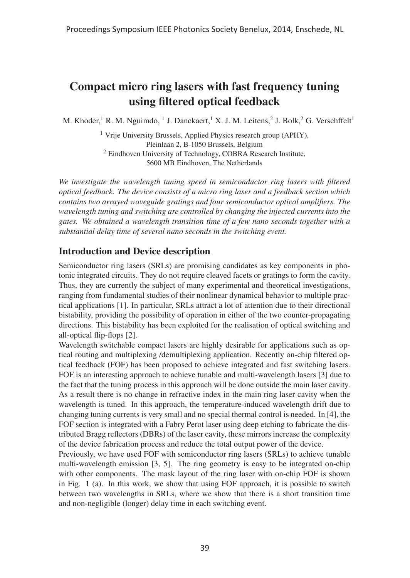# Compact micro ring lasers with fast frequency tuning using filtered optical feedback

M. Khoder,<sup>1</sup> R. M. Nguimdo, <sup>1</sup> J. Danckaert,<sup>1</sup> X. J. M. Leitens, <sup>2</sup> J. Bolk, <sup>2</sup> G. Verschffelt<sup>1</sup>

<sup>1</sup> Vrije University Brussels, Applied Physics research group (APHY), Pleinlaan 2, B-1050 Brussels, Belgium <sup>2</sup> Eindhoven University of Technology, COBRA Research Institute, 5600 MB Eindhoven, The Netherlands

*We investigate the wavelength tuning speed in semiconductor ring lasers with filtered optical feedback. The device consists of a micro ring laser and a feedback section which contains two arrayed waveguide gratings and four semiconductor optical amplifiers. The wavelength tuning and switching are controlled by changing the injected currents into the gates. We obtained a wavelength transition time of a few nano seconds together with a substantial delay time of several nano seconds in the switching event.*

## Introduction and Device description

Semiconductor ring lasers (SRLs) are promising candidates as key components in photonic integrated circuits. They do not require cleaved facets or gratings to form the cavity. Thus, they are currently the subject of many experimental and theoretical investigations, ranging from fundamental studies of their nonlinear dynamical behavior to multiple practical applications [1]. In particular, SRLs attract a lot of attention due to their directional bistability, providing the possibility of operation in either of the two counter-propagating directions. This bistability has been exploited for the realisation of optical switching and all-optical flip-flops [2].

Wavelength switchable compact lasers are highly desirable for applications such as optical routing and multiplexing /demultiplexing application. Recently on-chip filtered optical feedback (FOF) has been proposed to achieve integrated and fast switching lasers. FOF is an interesting approach to achieve tunable and multi-wavelength lasers [3] due to the fact that the tuning process in this approach will be done outside the main laser cavity. As a result there is no change in refractive index in the main ring laser cavity when the wavelength is tuned. In this approach, the temperature-induced wavelength drift due to changing tuning currents is very small and no special thermal control is needed. In [4], the FOF section is integrated with a Fabry Perot laser using deep etching to fabricate the distributed Bragg reflectors (DBRs) of the laser cavity, these mirrors increase the complexity of the device fabrication process and reduce the total output power of the device.

Previously, we have used FOF with semiconductor ring lasers (SRLs) to achieve tunable multi-wavelength emission [3, 5]. The ring geometry is easy to be integrated on-chip with other components. The mask layout of the ring laser with on-chip FOF is shown in Fig. 1 (a). In this work, we show that using FOF approach, it is possible to switch between two wavelengths in SRLs, where we show that there is a short transition time and non-negligible (longer) delay time in each switching event.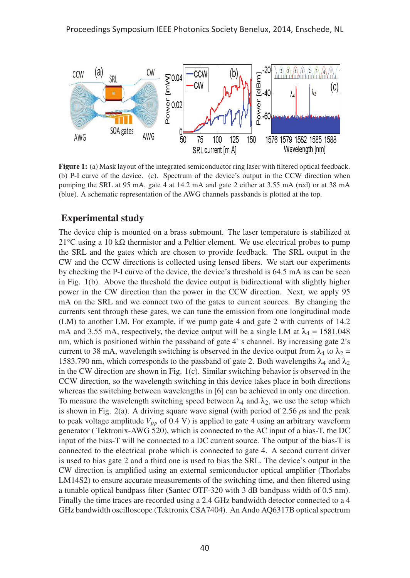

Figure 1: (a) Mask layout of the integrated semiconductor ring laser with filtered optical feedback. (b) P-I curve of the device. (c). Spectrum of the device's output in the CCW direction when pumping the SRL at 95 mA, gate 4 at 14.2 mA and gate 2 either at 3.55 mA (red) or at 38 mA (blue). A schematic representation of the AWG channels passbands is plotted at the top.

#### Experimental study

The device chip is mounted on a brass submount. The laser temperature is stabilized at 21°C using a 10 kΩ thermistor and a Peltier element. We use electrical probes to pump the SRL and the gates which are chosen to provide feedback. The SRL output in the CW and the CCW directions is collected using lensed fibers. We start our experiments by checking the P-I curve of the device, the device's threshold is 64.5 mA as can be seen in Fig. 1(b). Above the threshold the device output is bidirectional with slightly higher power in the CW direction than the power in the CCW direction. Next, we apply 95 mA on the SRL and we connect two of the gates to current sources. By changing the currents sent through these gates, we can tune the emission from one longitudinal mode (LM) to another LM. For example, if we pump gate 4 and gate 2 with currents of 14.2 mA and 3.55 mA, respectively, the device output will be a single LM at  $\lambda_4 = 1581.048$ nm, which is positioned within the passband of gate 4' s channel. By increasing gate 2's current to 38 mA, wavelength switching is observed in the device output from  $\lambda_4$  to  $\lambda_2$  = 1583.790 nm, which corresponds to the passband of gate 2. Both wavelengths  $\lambda_4$  and  $\lambda_2$ in the CW direction are shown in Fig. 1(c). Similar switching behavior is observed in the CCW direction, so the wavelength switching in this device takes place in both directions whereas the switching between wavelengths in [6] can be achieved in only one direction. To measure the wavelength switching speed between  $\lambda_4$  and  $\lambda_2$ , we use the setup which is shown in Fig. 2(a). A driving square wave signal (with period of  $2.56 \mu s$  and the peak to peak voltage amplitude  $V_{pp}$  of 0.4 V) is applied to gate 4 using an arbitrary waveform generator ( Tektronix-AWG 520), which is connected to the AC input of a bias-T, the DC input of the bias-T will be connected to a DC current source. The output of the bias-T is connected to the electrical probe which is connected to gate 4. A second current driver is used to bias gate 2 and a third one is used to bias the SRL. The device's output in the CW direction is amplified using an external semiconductor optical amplifier (Thorlabs LM14S2) to ensure accurate measurements of the switching time, and then filtered using a tunable optical bandpass filter (Santec OTF-320 with 3 dB bandpass width of 0.5 nm). Finally the time traces are recorded using a 2.4 GHz bandwidth detector connected to a 4 GHz bandwidth oscilloscope (Tektronix CSA7404). An Ando AQ6317B optical spectrum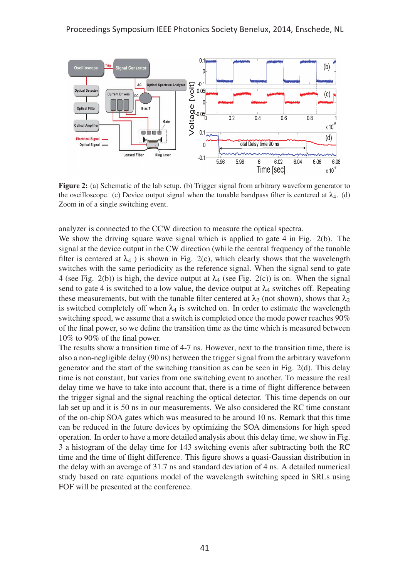

Figure 2: (a) Schematic of the lab setup. (b) Trigger signal from arbitrary waveform generator to the oscilloscope. (c) Device output signal when the tunable bandpass filter is centered at  $\lambda_4$ . (d) Zoom in of a single switching event.

analyzer is connected to the CCW direction to measure the optical spectra.

We show the driving square wave signal which is applied to gate 4 in Fig. 2(b). The signal at the device output in the CW direction (while the central frequency of the tunable filter is centered at  $\lambda_4$ ) is shown in Fig. 2(c), which clearly shows that the wavelength switches with the same periodicity as the reference signal. When the signal send to gate 4 (see Fig. 2(b)) is high, the device output at  $\lambda_4$  (see Fig. 2(c)) is on. When the signal send to gate 4 is switched to a low value, the device output at  $\lambda_4$  switches off. Repeating these measurements, but with the tunable filter centered at  $\lambda_2$  (not shown), shows that  $\lambda_2$ is switched completely off when  $\lambda_4$  is switched on. In order to estimate the wavelength switching speed, we assume that a switch is completed once the mode power reaches 90% of the final power, so we define the transition time as the time which is measured between 10% to 90% of the final power.

The results show a transition time of 4-7 ns. However, next to the transition time, there is also a non-negligible delay (90 ns) between the trigger signal from the arbitrary waveform generator and the start of the switching transition as can be seen in Fig.  $2(d)$ . This delay time is not constant, but varies from one switching event to another. To measure the real delay time we have to take into account that, there is a time of flight difference between the trigger signal and the signal reaching the optical detector. This time depends on our lab set up and it is 50 ns in our measurements. We also considered the RC time constant of the on-chip SOA gates which was measured to be around 10 ns. Remark that this time can be reduced in the future devices by optimizing the SOA dimensions for high speed operation. In order to have a more detailed analysis about this delay time, we show in Fig. 3 a histogram of the delay time for 143 switching events after subtracting both the RC time and the time of flight difference. This figure shows a quasi-Gaussian distribution in the delay with an average of 31.7 ns and standard deviation of 4 ns. A detailed numerical study based on rate equations model of the wavelength switching speed in SRLs using FOF will be presented at the conference.